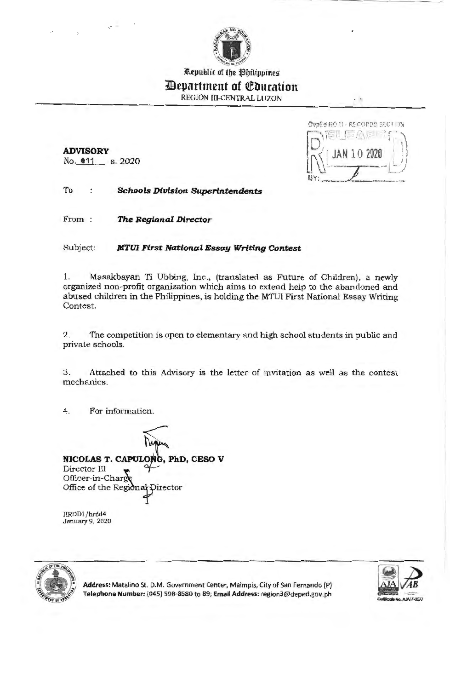

Republic of the Philippines

# **Department of Education**

REGION III-CENTRAL LUZON

**ADVISORY**  No. **011** s. 2020

 $\overline{C}$  =

OvpEd RO (II - RECOPDE SECTION 甜 信人原因 10 2020

 $\sim$  10

To **Schools Division Superintendents** 

From **The Regional Director** 

Subject: **MTUI First National Essay Writing Contest** 

1. Masakbayan Ti Ubbing, Inc., (translated as Future of Children), a newly organized non-profit organization which aims to extend help to the abandoned and abused children in the Philippines, is holding the MTUI First National Essay Writing Contest.

2. The competition is open to elementary and high school students in public and private schools.

3. Attached to this Advisory is the letter of invitation as well as the contest mechanics.

4. For information.

**NICOLAS T. CAPULONG, PhD, CESO V**<br>Director III<br>Officer-in-Charde Officer-in-Char Office of the Regional Director

HRDD1/hrdd4 January 9, 2020



**Address:** Matalino St. D.M. Government Center, Maimpis, City of San Fernando (P) **Telephone Number:** (045) 598-8580 to 89; **Email Address:** region3@deped.gov.ph

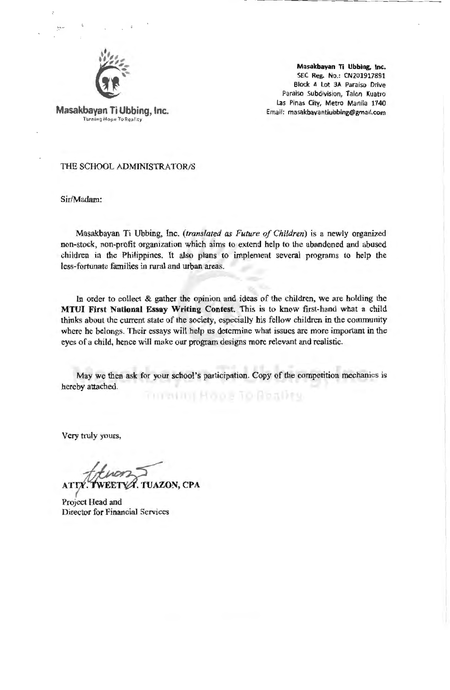

**Masakbayan** Ti **Ubbing,** Inc. SEC **Reg. No.:** CN201917891 Block 4 Lot 3A Paraiso Drive Paraiso Subdivision, Talon Kuatro Las Pinas City, Metro Manila 1740 Email: masakbayantiubbing@gmail.com

**Masakbayan Ti Ubbing,** Inc. Turning Hope To Reality

#### THE SCHOOL ADMINISTRATOR/S

Sir/Madam:

Masakbayan Ti Ubbing, Inc. *(translated as Future of Children)* is a newly organized non-stock, non-profit organization which aims to extend help to the abandoned and abused children in the Philippines. It also plans to implement several programs to help the less-fortunate families in rural and urban areas.

In order to collect & gather the opinion and ideas of the children, we are holding the **MTUI First National Essay Writing Contest.** This is to know first-hand what a child thinks about the current state of the society, especially bis fellow children in the community where he belongs. Their essays will help us determine what issues are more important in the eyes of a child, hence will make our program designs more relevant and realistic.

May we then ask for your school's participation. Copy of the competition mechanics is hereby attached. minum Hope To Beality

Very truly yours,

**UAZON, CPA** 

Project Head and Director for Financial Services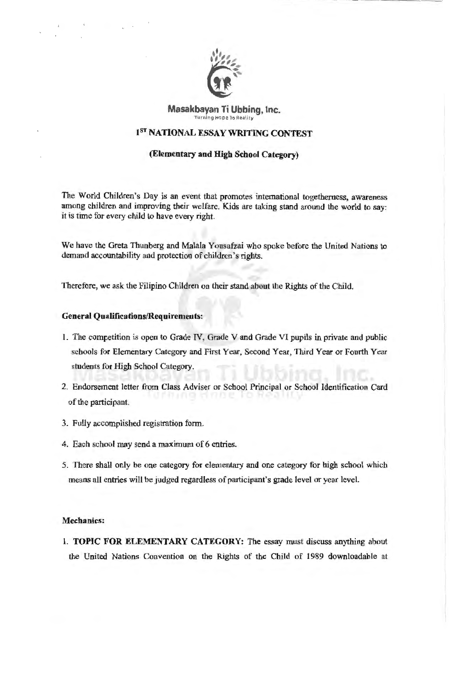

#### **Masakbayan Ti Ubbing, Inc.**  Turning Hope To Reality

## **1ST NATIONAL ESSAY WRITING CONTEST**

### **(Elementary and ffigh School Category)**

The World Children's Day is an event that promotes international togetherness, awareness among children and improving their welfare. Kids are taking stand around the world to say: it is time for every child to have every right.

We have the Greta Thunberg and Malala Yousafzai who spoke before the United Nations to demand accountability and protection of children's rights.

Therefore, we ask the Filipino Children on their stand about the Rights of the Child.

#### **General Qualifications/Requirements:**

- 1. The competition is open to Grade IV, Grade V and Grade VI pupils in private and public schools for Elementary Category and First Year, Second Year, Third Year or Fourth Year students for High School Category.
- 2. Endorsement letter from Class Adviser or School Principal or School Identification Card of the participant.
- 3. Fully accomplished registration form.
- 4. Each school may send a maximum of 6 entries.
- 5. There shall only be one category for elementary and one category for high school which means all entries will be judged regardless of participant's grade level or year level.

#### **Mechanics:**

1. **TOPIC FOR ELEMENTARY CATEGORY:** The essay must discuss anything about the United Nations Convention on the Rights of the Child of 1989 downloadable at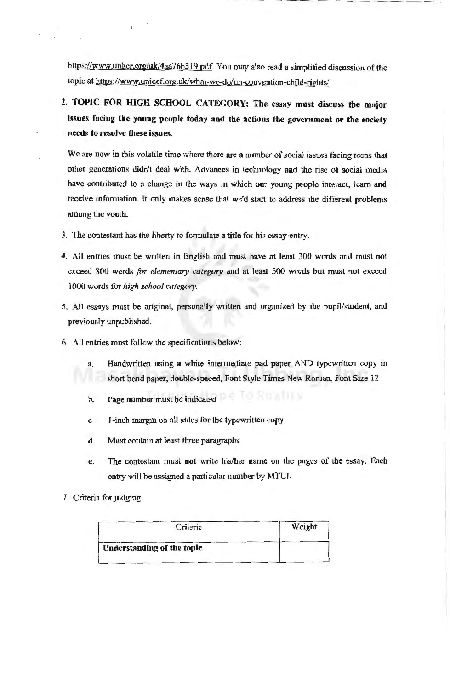https://www.unhcr.org/uk/4aa76b319.pdf. You may also read a simplified discussion of the topic at https://www.unicef.org.uk/what-we-do/un-convention-child-rights/

2. TOPIC FOR HIGH SCHOOL CATEGORY: The essay must discuss the major **issues facing the young people today and the actions the government or the society needs to resolve these issues.** 

We are now in this volatile time where there are a number of social issues facing teens that other generations didn't deal with. Advances in technology and the rise of social media have contributed to a change in the ways in which our young people interact, learn and receive information. It only makes sense that we'd start to address the different problems among the youth.

- 3. The contestant has the liberty to formulate a title for his essay-entry.
- 4. All entries must be written in English and must have at least 300 words and must not exceed 800 words *for elementary category* and at least 500 words but must not exceed 1000 words for *high school category.*
- 5. All essays must be original, personally written and organized by the pupil/student, and previously unpublished.
- 6. All entries must follow the specifications below:
	- a. Handwritten using a white intermediate pad paper AND typewritten copy in short bond paper, double-spaced, Font Style Times New Roman, Font Size 12
	- b. Page number must be indicated
	- c. I-inch margin on all sides for the typewritten copy
	- d. Must contain at least three paragraphs
	- e. The contestant must **not** write his/her name on the pages of the essay. Each entry will be assigned a particular number by MTUI.
- 7. Criteria for judging

| Criteria                          | Weight |
|-----------------------------------|--------|
| <b>Understanding of the topic</b> |        |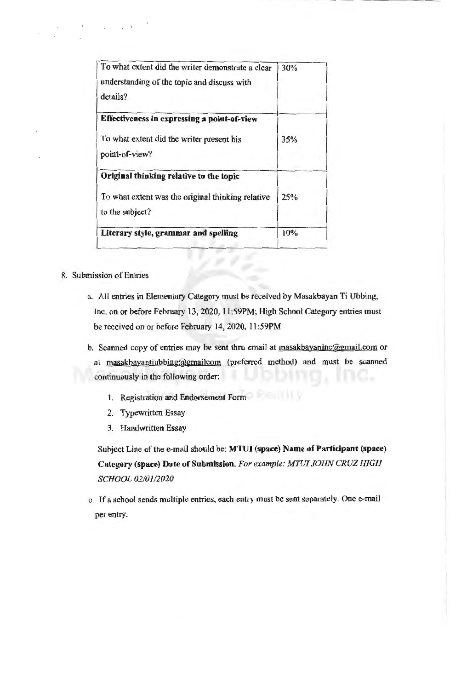| To what extent did the writer demonstrate a clear<br>understanding of the topic and discuss with<br>details?    | 30% |
|-----------------------------------------------------------------------------------------------------------------|-----|
| Effectiveness in expressing a point-of-view<br>To what extent did the writer present his<br>point-of-view?      | 35% |
| Original thinking relative to the topic<br>To what extent was the original thinking relative<br>to the subject? | 25% |
| Literary style, grammar and spelling                                                                            | 10% |

## 8. Submission of Entries

- a. All entries in Elementary Category must be received by Masakbayan Ti Ubbing, Inc. on or before February 13, 2020, 11:59PM; High School Category entries must be received on or before February 14, 2020, 11 :59PM
- b. Scanned copy of entries may be sent thru email at masakbayaninc@gmail.com or at masakbayantiubbing@gmailcom (preferred method) and must be scanned continuously in the following order:
	- 1. Registration and Endorsement Form
	- 2. Typewritten Essay
	- 3. Handwritten Essay

Subject Line of the e-mail should be: **MTUI (space) Name of Participant (space) Category (space) Date of Submission.** *For example: MTIJJ JOHN CRUZ HIGH SCHOOL 02/01/2020* 

c. If a school sends multiple entries, each entry must be sent separately. One e-mail per entry.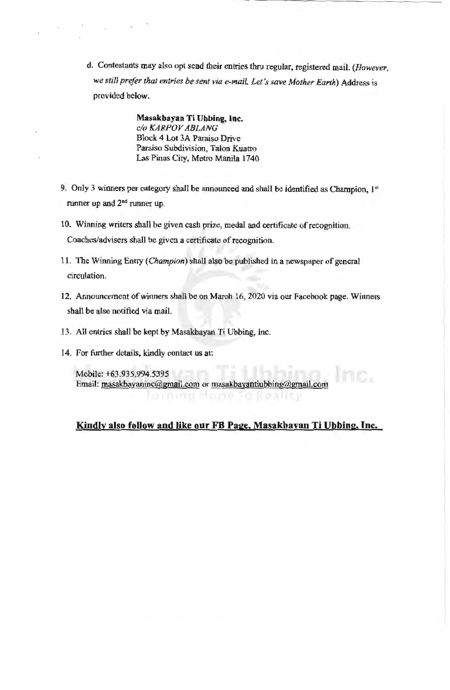d. Contestants may also opt send their entries thru regular, registered mail. *(However, we still prefer that entries be sent via e-mail. Let's save Mother Earth)* Address is provided below.

> **Masakbayan Ti Ubbing, Inc.**  *c/o KARPOV ABLANG*  Block 4 Lot 3A Paraiso Drive Paraiso Subdivision, Talon Kuatro Las Pinas City, Metro Manila 1740

- 9. Only 3 winners per category shall be announced and shall be identified as Champion,  $1^{st}$ runner up and 2nd runner up.
- 10. Winning writers shall be given cash prize, medal and certificate ofrecognition. Coaches/advisers shall be given a certificate of recognition.
- 11. The Winning Entry *(Champion)* shall also be published in a newspaper of general circulation.
- 12. Announcement of winners shall be on March 16, 2020 via our Facebook page. Winners shall be also notified via mail.
- 13. All entries shall be kept by Masakbayan Ti Ubbing, Inc.
- 14. For further details, kindly contact us at:

Mobile: +63.935.994.5395 Email: masakbayaninc@gmail.com or masakbayantiubbing@gmail.com

## **Kindly also follow and like our FB Page, Masakbayan Ti Ubbing, Inc.**

lurning Hope To Reality

nc.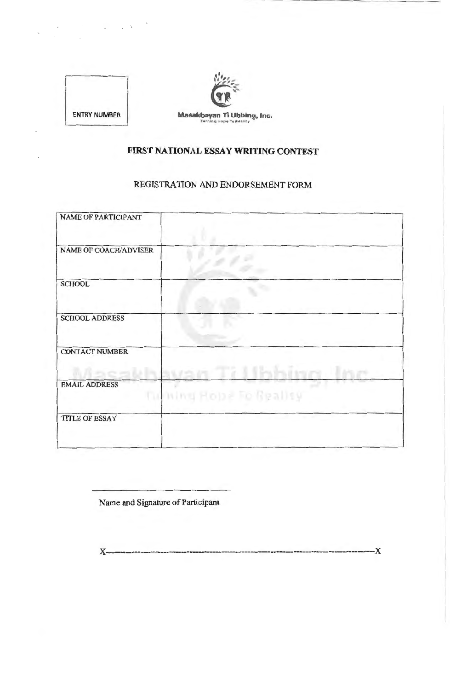



# **FIRST NATIONAL ESSAY WRITING CONTEST**

# REGISTRATION AND ENDORSEMENT FORM

| <b>NAME OF PARTICIPANT</b>   |                         |
|------------------------------|-------------------------|
| <b>NAME OF COACH/ADVISER</b> |                         |
| <b>SCHOOL</b>                |                         |
| <b>SCHOOL ADDRESS</b>        |                         |
| <b>CONTACT NUMBER</b>        |                         |
| <b>EMAIL ADDRESS</b>         | furning Hope To Bealisy |
| <b>TITLE OF ESSAY</b>        |                         |
|                              |                         |

Name and Signature of Participant

X------------------------------------------------------------------------- **---X**